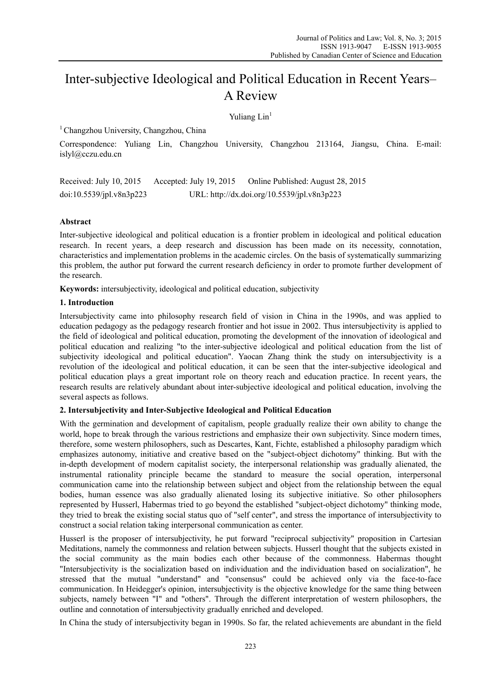# Inter-subjective Ideological and Political Education in Recent Years– A Review

Yuliang Lin<sup>1</sup>

1 Changzhou University, Changzhou, China

Correspondence: Yuliang Lin, Changzhou University, Changzhou 213164, Jiangsu, China. E-mail: islyl@cczu.edu.cn

Received: July 10, 2015 Accepted: July 19, 2015 Online Published: August 28, 2015 doi:10.5539/jpl.v8n3p223 URL: http://dx.doi.org/10.5539/jpl.v8n3p223

# **Abstract**

Inter-subjective ideological and political education is a frontier problem in ideological and political education research. In recent years, a deep research and discussion has been made on its necessity, connotation, characteristics and implementation problems in the academic circles. On the basis of systematically summarizing this problem, the author put forward the current research deficiency in order to promote further development of the research.

**Keywords:** intersubjectivity, ideological and political education, subjectivity

# **1. Introduction**

Intersubjectivity came into philosophy research field of vision in China in the 1990s, and was applied to education pedagogy as the pedagogy research frontier and hot issue in 2002. Thus intersubjectivity is applied to the field of ideological and political education, promoting the development of the innovation of ideological and political education and realizing "to the inter-subjective ideological and political education from the list of subjectivity ideological and political education". Yaocan Zhang think the study on intersubjectivity is a revolution of the ideological and political education, it can be seen that the inter-subjective ideological and political education plays a great important role on theory reach and education practice. In recent years, the research results are relatively abundant about inter-subjective ideological and political education, involving the several aspects as follows.

# **2. Intersubjectivity and Inter-Subjective Ideological and Political Education**

With the germination and development of capitalism, people gradually realize their own ability to change the world, hope to break through the various restrictions and emphasize their own subjectivity. Since modern times, therefore, some western philosophers, such as Descartes, Kant, Fichte, established a philosophy paradigm which emphasizes autonomy, initiative and creative based on the "subject-object dichotomy" thinking. But with the in-depth development of modern capitalist society, the interpersonal relationship was gradually alienated, the instrumental rationality principle became the standard to measure the social operation, interpersonal communication came into the relationship between subject and object from the relationship between the equal bodies, human essence was also gradually alienated losing its subjective initiative. So other philosophers represented by Husserl, Habermas tried to go beyond the established "subject-object dichotomy" thinking mode, they tried to break the existing social status quo of "self center", and stress the importance of intersubjectivity to construct a social relation taking interpersonal communication as center.

Husserl is the proposer of intersubjectivity, he put forward "reciprocal subjectivity" proposition in Cartesian Meditations, namely the commonness and relation between subjects. Husserl thought that the subjects existed in the social community as the main bodies each other because of the commonness. Habermas thought "Intersubjectivity is the socialization based on individuation and the individuation based on socialization", he stressed that the mutual "understand" and "consensus" could be achieved only via the face-to-face communication. In Heidegger's opinion, intersubjectivity is the objective knowledge for the same thing between subjects, namely between "I" and "others". Through the different interpretation of western philosophers, the outline and connotation of intersubjectivity gradually enriched and developed.

In China the study of intersubjectivity began in 1990s. So far, the related achievements are abundant in the field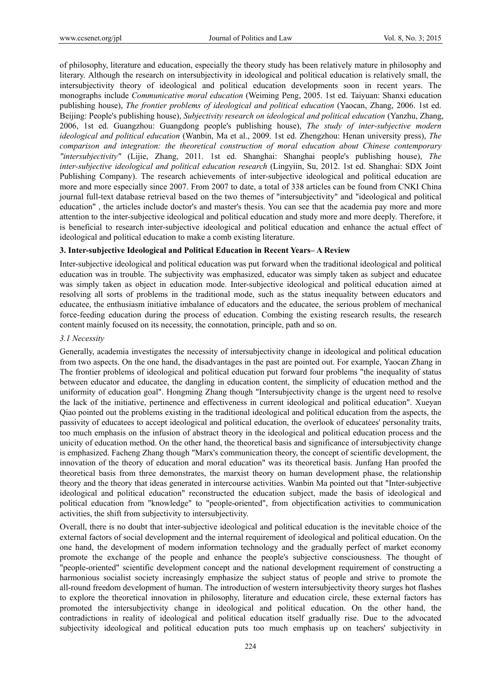of philosophy, literature and education, especially the theory study has been relatively mature in philosophy and literary. Although the research on intersubjectivity in ideological and political education is relatively small, the intersubjectivity theory of ideological and political education developments soon in recent years. The monographs include *Communicative moral education* (Weiming Peng, 2005. 1st ed. Taiyuan: Shanxi education publishing house), *The frontier problems of ideological and political education* (Yaocan, Zhang, 2006. 1st ed. Beijing: People's publishing house), *Subjectivity research on ideological and political education* (Yanzhu, Zhang, 2006, 1st ed. Guangzhou: Guangdong people's publishing house), *The study of inter-subjective modern ideological and political education* (Wanbin, Ma et al., 2009. 1st ed. Zhengzhou: Henan university press), *The comparison and integration: the theoretical construction of moral education about Chinese contemporary "intersubjectivity"* (Lijie, Zhang, 2011. 1st ed. Shanghai: Shanghai people's publishing house), *The inter-subjective ideological and political education research* (Lingyiin, Su, 2012. 1st ed. Shanghai: SDX Joint Publishing Company). The research achievements of inter-subjective ideological and political education are more and more especially since 2007. From 2007 to date, a total of 338 articles can be found from CNKI China journal full-text database retrieval based on the two themes of "intersubjectivity" and "ideological and political education" , the articles include doctor's and master's thesis. You can see that the academia pay more and more attention to the inter-subjective ideological and political education and study more and more deeply. Therefore, it is beneficial to research inter-subjective ideological and political education and enhance the actual effect of ideological and political education to make a comb existing literature.

## **3. Inter-subjective Ideological and Political Education in Recent Years– A Review**

Inter-subjective ideological and political education was put forward when the traditional ideological and political education was in trouble. The subjectivity was emphasized, educator was simply taken as subject and educatee was simply taken as object in education mode. Inter-subjective ideological and political education aimed at resolving all sorts of problems in the traditional mode, such as the status inequality between educators and educatee, the enthusiasm initiative imbalance of educators and the educatee, the serious problem of mechanical force-feeding education during the process of education. Combing the existing research results, the research content mainly focused on its necessity, the connotation, principle, path and so on.

#### *3.1 Necessity*

Generally, academia investigates the necessity of intersubjectivity change in ideological and political education from two aspects. On the one hand, the disadvantages in the past are pointed out. For example, Yaocan Zhang in The frontier problems of ideological and political education put forward four problems "the inequality of status between educator and educatee, the dangling in education content, the simplicity of education method and the uniformity of education goal". Hongming Zhang though "Intersubjectivity change is the urgent need to resolve the lack of the initiative, pertinence and effectiveness in current ideological and political education". Xueyan Qiao pointed out the problems existing in the traditional ideological and political education from the aspects, the passivity of educatees to accept ideological and political education, the overlook of educatees' personality traits, too much emphasis on the infusion of abstract theory in the ideological and political education process and the unicity of education method. On the other hand, the theoretical basis and significance of intersubjectivity change is emphasized. Facheng Zhang though "Marx's communication theory, the concept of scientific development, the innovation of the theory of education and moral education" was its theoretical basis. Junfang Han proofed the theoretical basis from three demonstrates, the marxist theory on human development phase, the relationship theory and the theory that ideas generated in intercourse activities. Wanbin Ma pointed out that "Inter-subjective ideological and political education" reconstructed the education subject, made the basis of ideological and political education from "knowledge" to "people-oriented", from objectification activities to communication activities, the shift from subjectivity to intersubjectivity.

Overall, there is no doubt that inter-subjective ideological and political education is the inevitable choice of the external factors of social development and the internal requirement of ideological and political education. On the one hand, the development of modern information technology and the gradually perfect of market economy promote the exchange of the people and enhance the people's subjective consciousness. The thought of "people-oriented" scientific development concept and the national development requirement of constructing a harmonious socialist society increasingly emphasize the subject status of people and strive to promote the all-round freedom development of human. The introduction of western intersubjectivity theory surges hot flashes to explore the theoretical innovation in philosophy, literature and education circle, these external factors has promoted the intersubjectivity change in ideological and political education. On the other hand, the contradictions in reality of ideological and political education itself gradually rise. Due to the advocated subjectivity ideological and political education puts too much emphasis up on teachers' subjectivity in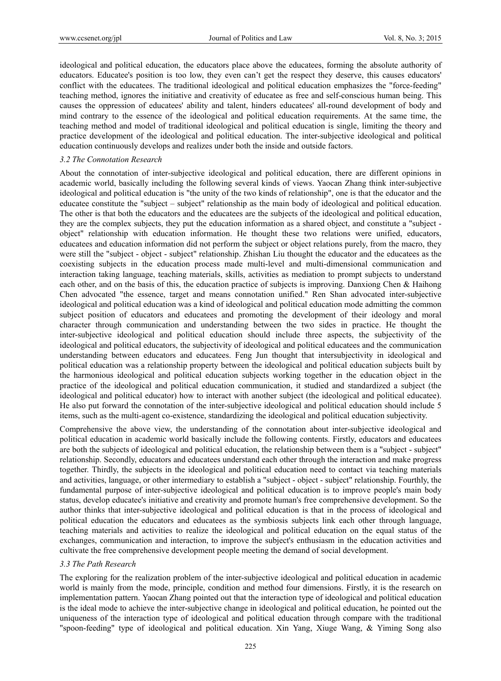ideological and political education, the educators place above the educatees, forming the absolute authority of educators. Educatee's position is too low, they even can't get the respect they deserve, this causes educators' conflict with the educatees. The traditional ideological and political education emphasizes the "force-feeding" teaching method, ignores the initiative and creativity of educatee as free and self-conscious human being. This causes the oppression of educatees' ability and talent, hinders educatees' all-round development of body and mind contrary to the essence of the ideological and political education requirements. At the same time, the teaching method and model of traditional ideological and political education is single, limiting the theory and practice development of the ideological and political education. The inter-subjective ideological and political education continuously develops and realizes under both the inside and outside factors.

#### *3.2 The Connotation Research*

About the connotation of inter-subjective ideological and political education, there are different opinions in academic world, basically including the following several kinds of views. Yaocan Zhang think inter-subjective ideological and political education is "the unity of the two kinds of relationship", one is that the educator and the educatee constitute the "subject – subject" relationship as the main body of ideological and political education. The other is that both the educators and the educatees are the subjects of the ideological and political education, they are the complex subjects, they put the education information as a shared object, and constitute a "subject object" relationship with education information. He thought these two relations were unified, educators, educatees and education information did not perform the subject or object relations purely, from the macro, they were still the "subject - object - subject" relationship. Zhishan Liu thought the educator and the educatees as the coexisting subjects in the education process made multi-level and multi-dimensional communication and interaction taking language, teaching materials, skills, activities as mediation to prompt subjects to understand each other, and on the basis of this, the education practice of subjects is improving. Danxiong Chen & Haihong Chen advocated "the essence, target and means connotation unified." Ren Shan advocated inter-subjective ideological and political education was a kind of ideological and political education mode admitting the common subject position of educators and educatees and promoting the development of their ideology and moral character through communication and understanding between the two sides in practice. He thought the inter-subjective ideological and political education should include three aspects, the subjectivity of the ideological and political educators, the subjectivity of ideological and political educatees and the communication understanding between educators and educatees. Feng Jun thought that intersubjectivity in ideological and political education was a relationship property between the ideological and political education subjects built by the harmonious ideological and political education subjects working together in the education object in the practice of the ideological and political education communication, it studied and standardized a subject (the ideological and political educator) how to interact with another subject (the ideological and political educatee). He also put forward the connotation of the inter-subjective ideological and political education should include 5 items, such as the multi-agent co-existence, standardizing the ideological and political education subjectivity.

Comprehensive the above view, the understanding of the connotation about inter-subjective ideological and political education in academic world basically include the following contents. Firstly, educators and educatees are both the subjects of ideological and political education, the relationship between them is a "subject - subject" relationship. Secondly, educators and educatees understand each other through the interaction and make progress together. Thirdly, the subjects in the ideological and political education need to contact via teaching materials and activities, language, or other intermediary to establish a "subject - object - subject" relationship. Fourthly, the fundamental purpose of inter-subjective ideological and political education is to improve people's main body status, develop educatee's initiative and creativity and promote human's free comprehensive development. So the author thinks that inter-subjective ideological and political education is that in the process of ideological and political education the educators and educatees as the symbiosis subjects link each other through language, teaching materials and activities to realize the ideological and political education on the equal status of the exchanges, communication and interaction, to improve the subject's enthusiasm in the education activities and cultivate the free comprehensive development people meeting the demand of social development.

## *3.3 The Path Research*

The exploring for the realization problem of the inter-subjective ideological and political education in academic world is mainly from the mode, principle, condition and method four dimensions. Firstly, it is the research on implementation pattern. Yaocan Zhang pointed out that the interaction type of ideological and political education is the ideal mode to achieve the inter-subjective change in ideological and political education, he pointed out the uniqueness of the interaction type of ideological and political education through compare with the traditional "spoon-feeding" type of ideological and political education. Xin Yang, Xiuge Wang, & Yiming Song also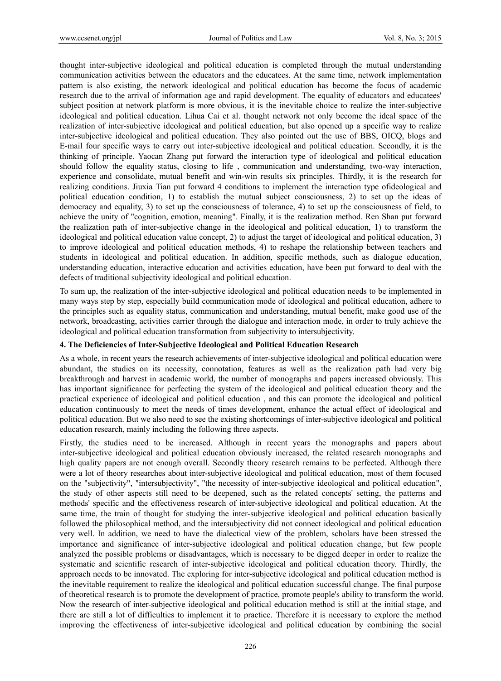thought inter-subjective ideological and political education is completed through the mutual understanding communication activities between the educators and the educatees. At the same time, network implementation pattern is also existing, the network ideological and political education has become the focus of academic research due to the arrival of information age and rapid development. The equality of educators and educatees' subject position at network platform is more obvious, it is the inevitable choice to realize the inter-subjective ideological and political education. Lihua Cai et al. thought network not only become the ideal space of the realization of inter-subjective ideological and political education, but also opened up a specific way to realize inter-subjective ideological and political education. They also pointed out the use of BBS, OICQ, blogs and E-mail four specific ways to carry out inter-subjective ideological and political education. Secondly, it is the thinking of principle. Yaocan Zhang put forward the interaction type of ideological and political education should follow the equality status, closing to life , communication and understanding, two-way interaction, experience and consolidate, mutual benefit and win-win results six principles. Thirdly, it is the research for realizing conditions. Jiuxia Tian put forward 4 conditions to implement the interaction type ofideological and political education condition, 1) to establish the mutual subject consciousness, 2) to set up the ideas of democracy and equality, 3) to set up the consciousness of tolerance, 4) to set up the consciousness of field, to achieve the unity of "cognition, emotion, meaning". Finally, it is the realization method. Ren Shan put forward the realization path of inter-subjective change in the ideological and political education, 1) to transform the ideological and political education value concept, 2) to adjust the target of ideological and political education, 3) to improve ideological and political education methods, 4) to reshape the relationship between teachers and students in ideological and political education. In addition, specific methods, such as dialogue education, understanding education, interactive education and activities education, have been put forward to deal with the defects of traditional subjectivity ideological and political education.

To sum up, the realization of the inter-subjective ideological and political education needs to be implemented in many ways step by step, especially build communication mode of ideological and political education, adhere to the principles such as equality status, communication and understanding, mutual benefit, make good use of the network, broadcasting, activities carrier through the dialogue and interaction mode, in order to truly achieve the ideological and political education transformation from subjectivity to intersubjectivity.

## **4. The Deficiencies of Inter-Subjective Ideological and Political Education Research**

As a whole, in recent years the research achievements of inter-subjective ideological and political education were abundant, the studies on its necessity, connotation, features as well as the realization path had very big breakthrough and harvest in academic world, the number of monographs and papers increased obviously. This has important significance for perfecting the system of the ideological and political education theory and the practical experience of ideological and political education , and this can promote the ideological and political education continuously to meet the needs of times development, enhance the actual effect of ideological and political education. But we also need to see the existing shortcomings of inter-subjective ideological and political education research, mainly including the following three aspects.

Firstly, the studies need to be increased. Although in recent years the monographs and papers about inter-subjective ideological and political education obviously increased, the related research monographs and high quality papers are not enough overall. Secondly theory research remains to be perfected. Although there were a lot of theory researches about inter-subjective ideological and political education, most of them focused on the "subjectivity", "intersubjectivity", "the necessity of inter-subjective ideological and political education", the study of other aspects still need to be deepened, such as the related concepts' setting, the patterns and methods' specific and the effectiveness research of inter-subjective ideological and political education. At the same time, the train of thought for studying the inter-subjective ideological and political education basically followed the philosophical method, and the intersubjectivity did not connect ideological and political education very well. In addition, we need to have the dialectical view of the problem, scholars have been stressed the importance and significance of inter-subjective ideological and political education change, but few people analyzed the possible problems or disadvantages, which is necessary to be digged deeper in order to realize the systematic and scientific research of inter-subjective ideological and political education theory. Thirdly, the approach needs to be innovated. The exploring for inter-subjective ideological and political education method is the inevitable requirement to realize the ideological and political education successful change. The final purpose of theoretical research is to promote the development of practice, promote people's ability to transform the world. Now the research of inter-subjective ideological and political education method is still at the initial stage, and there are still a lot of difficulties to implement it to practice. Therefore it is necessary to explore the method improving the effectiveness of inter-subjective ideological and political education by combining the social